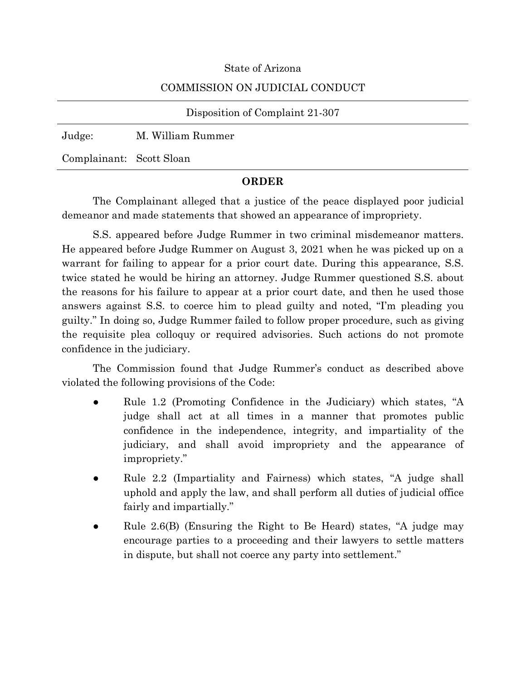## State of Arizona

# COMMISSION ON JUDICIAL CONDUCT

#### Disposition of Complaint 21-307

Judge: M. William Rummer

Complainant: Scott Sloan

## **ORDER**

The Complainant alleged that a justice of the peace displayed poor judicial demeanor and made statements that showed an appearance of impropriety.

S.S. appeared before Judge Rummer in two criminal misdemeanor matters. He appeared before Judge Rummer on August 3, 2021 when he was picked up on a warrant for failing to appear for a prior court date. During this appearance, S.S. twice stated he would be hiring an attorney. Judge Rummer questioned S.S. about the reasons for his failure to appear at a prior court date, and then he used those answers against S.S. to coerce him to plead guilty and noted, "I'm pleading you guilty." In doing so, Judge Rummer failed to follow proper procedure, such as giving the requisite plea colloquy or required advisories. Such actions do not promote confidence in the judiciary.

The Commission found that Judge Rummer's conduct as described above violated the following provisions of the Code:

- Rule 1.2 (Promoting Confidence in the Judiciary) which states, "A judge shall act at all times in a manner that promotes public confidence in the independence, integrity, and impartiality of the judiciary, and shall avoid impropriety and the appearance of impropriety."
- Rule 2.2 (Impartiality and Fairness) which states, "A judge shall uphold and apply the law, and shall perform all duties of judicial office fairly and impartially."
- Rule  $2.6(B)$  (Ensuring the Right to Be Heard) states, "A judge may encourage parties to a proceeding and their lawyers to settle matters in dispute, but shall not coerce any party into settlement."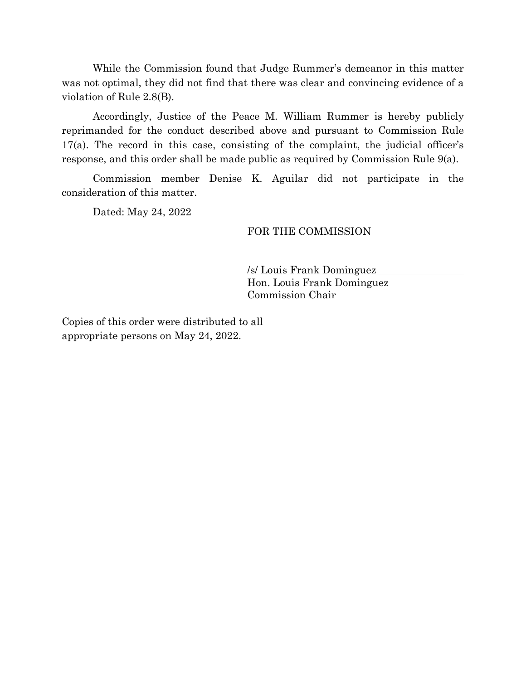While the Commission found that Judge Rummer's demeanor in this matter was not optimal, they did not find that there was clear and convincing evidence of a violation of Rule 2.8(B).

Accordingly, Justice of the Peace M. William Rummer is hereby publicly reprimanded for the conduct described above and pursuant to Commission Rule 17(a). The record in this case, consisting of the complaint, the judicial officer's response, and this order shall be made public as required by Commission Rule 9(a).

Commission member Denise K. Aguilar did not participate in the consideration of this matter.

Dated: May 24, 2022

## FOR THE COMMISSION

/s/ Louis Frank Dominguez Hon. Louis Frank Dominguez Commission Chair

Copies of this order were distributed to all appropriate persons on May 24, 2022.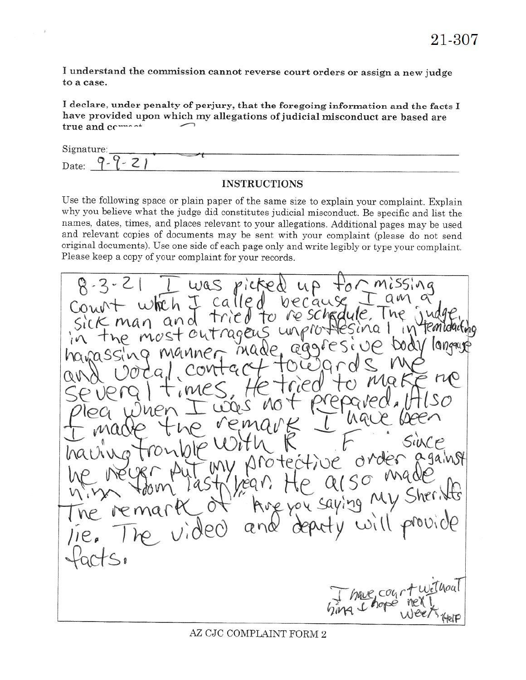I understand the commission cannot reverse court orders or assign a new judge to a case.

 $\boldsymbol{\theta}$ 

I declare, under penalty of perjury, that the foregoing information and the facts I have provided upon which my allegations of judicial misconduct are based are true and common

| Signature:                 |  |
|----------------------------|--|
| ◡<br>$\sim$<br>Q.<br>Date: |  |

# **INSTRUCTIONS**

Use the following space or plain paper of the same size to explain your complaint. Explain why you believe what the judge did constitutes judicial misconduct. Be specific and list the names, dates, times, and places relevant to your allegations. Additional pages may be used and relevant copies of documents may be sent with your complaint (please do not send original documents). Use one side of each page only and write legibly or type your complaint. Please keep a copy of your complaint for your records.

was called becau heh J re sche TO Tric and outrage i V nos  $1009909$  $G$  $G$  $A$ a ga in st つ , Sher's  $100 \times 100$ without have con